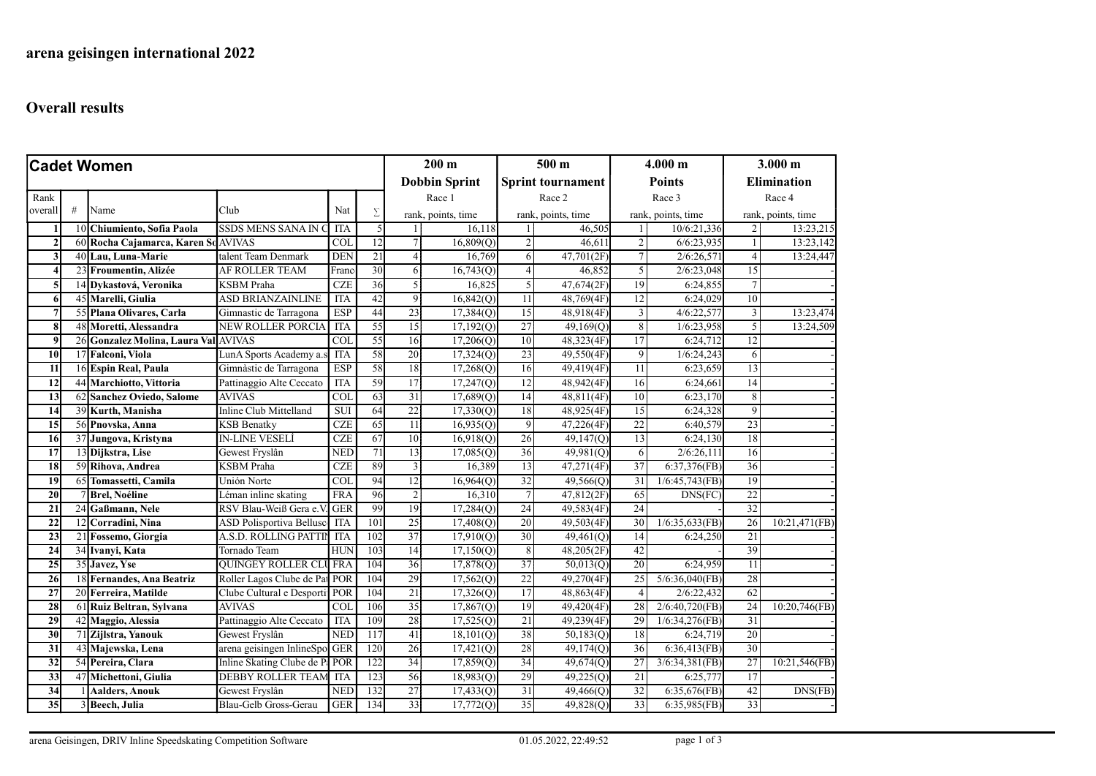## Overall results

| <b>Cadet Women</b> |   |                                      |                                          |                         | $200 \text{ m}$  |                      | 500 <sub>m</sub>   |                          | 4.000 m            |                 | 3.000 m            |                    |                    |  |
|--------------------|---|--------------------------------------|------------------------------------------|-------------------------|------------------|----------------------|--------------------|--------------------------|--------------------|-----------------|--------------------|--------------------|--------------------|--|
|                    |   |                                      |                                          |                         |                  | <b>Dobbin Sprint</b> |                    | <b>Sprint tournament</b> |                    | <b>Points</b>   |                    | <b>Elimination</b> |                    |  |
| Rank               |   |                                      |                                          |                         |                  |                      | Race 1             |                          | Race 2             |                 | Race 3             |                    | Race 4             |  |
| overall            | # | Name                                 | Club                                     | Nat                     | Σ                |                      | rank, points, time |                          | rank, points, time |                 | rank, points, time |                    | rank, points, time |  |
|                    |   | 10 Chiumiento, Sofia Paola           | <b>SSDS MENS SANA IN</b>                 | <b>ITA</b>              | 5                |                      | 16,118             | $\mathbf{1}$             | 46,505             |                 | 10/6:21,336        | $\overline{2}$     | 13:23,215          |  |
| $\overline{2}$     |   | 60 Rocha Cajamarca, Karen So         | <b>AVIVAS</b>                            | $\overline{\text{COL}}$ | $\overline{12}$  | $\tau$               | 16,809(Q)          | $\overline{2}$           | 46,611             | $\overline{c}$  | 6/6:23,935         | $\mathbf{1}$       | 13:23,142          |  |
| 3                  |   | 40 Lau, Luna-Marie                   | talent Team Denmark                      | <b>DEN</b>              | 21               | $\overline{4}$       | 16,769             | 6                        | 47,701(2F)         | $\tau$          | 2/6:26,571         | $\overline{4}$     | 13:24,447          |  |
| 4                  |   | 23 Froumentin, Alizée                | <b>AF ROLLER TEAM</b>                    | Franc                   | 30               | 6                    | 16,743(Q)          | $\vert$                  | 46,852             | 5               | 2/6:23,048         | 15                 |                    |  |
| 5                  |   | 14 Dykastová, Veronika               | <b>KSBM</b> Praha                        | CZE                     | 36               | $\mathfrak{S}$       | 16,825             | $\overline{5}$           | 47,674(2F)         | 19              | 6:24,855           | $\overline{7}$     |                    |  |
| 6                  |   | 45 Marelli, Giulia                   | <b>ASD BRIANZAINLINE</b>                 | <b>ITA</b>              | 42               | $\overline{9}$       | 16,842(Q)          | 11                       | 48,769(4F)         | 12              | 6:24,029           | 10                 |                    |  |
| 7                  |   | 55 Plana Olivares, Carla             | Gimnastic de Tarragona                   | <b>ESP</b>              | 44               | 23                   | 17,384(Q)          | 15                       | 48,918(4F)         | 3               | 4/6:22,577         | 3                  | 13:23,474          |  |
| 8                  |   | 48 Moretti, Alessandra               | <b>NEW ROLLER PORCIA</b>                 | <b>ITA</b>              | 55               | 15                   | 17,192(Q)          | 27                       | 49,169(Q)          | 8               | 1/6:23,958         | 5                  | 13:24,509          |  |
| $\boldsymbol{9}$   |   | 26 Gonzalez Molina, Laura Val AVIVAS |                                          | $\overline{\text{COL}}$ | 55               | 16                   | 17,206(Q)          | 10                       | 48,323(4F)         | 17              | 6:24,712           | $\overline{12}$    |                    |  |
| 10                 |   | 17 Falconi, Viola                    | LunA Sports Academy a.s                  | <b>ITA</b>              | 58               | 20                   | 17,324(Q)          | 23                       | 49,550(4F)         | 9               | 1/6:24,243         | 6                  |                    |  |
| 11                 |   | 16 Espin Real, Paula                 | Gimnàstic de Tarragona                   | <b>ESP</b>              | 58               | 18                   | 17,268(Q)          | 16                       | 49,419(4F)         | 11              | 6:23,659           | 13                 |                    |  |
| 12                 |   | 44 Marchiotto, Vittoria              | Pattinaggio Alte Ceccato                 | <b>ITA</b>              | 59               | 17                   | 17,247(0)          | 12                       | 48,942(4F)         | 16              | 6:24,661           | 4                  |                    |  |
| 13                 |   | 62 Sanchez Oviedo, Salome            | <b>AVIVAS</b>                            | $\overline{\text{COL}}$ | 63               | 31                   | 17,689(Q)          | 4                        | 48,811(4F)         | 10              | 6:23,170           | 8                  |                    |  |
| 14                 |   | 39 Kurth, Manisha                    | Inline Club Mittelland                   | <b>SUI</b>              | 64               | $\overline{22}$      | 17,330(Q)          | 18                       | 48,925(4F)         | 15              | 6:24,328           | 9                  |                    |  |
| $\overline{15}$    |   | 56 Pnovska, Anna                     | <b>KSB Benatky</b>                       | CZE                     | 65               | $\overline{11}$      | 16,935(O)          | 9                        | 47,226(4F)         | 22              | 6:40,579           | 23                 |                    |  |
| 16                 |   | 37 Jungova, Kristyna                 | <b>IN-LINE VESELÍ</b>                    | <b>CZE</b>              | 67               | 10                   | 16,918(Q)          | 26                       | 49,147(Q)          | 13              | 6:24,130           | 18                 |                    |  |
| $\overline{17}$    |   | 13 Dijkstra, Lise                    | Gewest Fryslân                           | <b>NED</b>              | 71               | 13                   | 17,085(Q)          | 36                       | 49,981(Q)          | 6               | 2/6:26,111         | 16                 |                    |  |
| 18                 |   | 59 Rihova, Andrea                    | <b>KSBM</b> Praha                        | CZE                     | 89               | 3                    | 16,389             | 13                       | 47,271(4F)         | $\overline{37}$ | 6:37,376(FB)       | 36                 |                    |  |
| 19                 |   | 65 Tomassetti, Camila                | Unión Norte                              | $\overline{\text{COL}}$ | 94               | $\overline{12}$      | 16,964(Q)          | 32                       | 49,566(Q)          | 31              | 1/6:45,743(FB)     | 19                 |                    |  |
| 20                 |   | <b>Brel, Noéline</b>                 | Léman inline skating                     | <b>FRA</b>              | 96               | $\overline{c}$       | 16,310             | $7\overline{ }$          | 47,812(2F)         | 65              | DNS(FC)            | $\overline{22}$    |                    |  |
| 21                 |   | 24 Gaßmann, Nele                     | RSV Blau-Weiß Gera e.V                   | GER                     | 99               | 19                   | 17,284(Q)          | 24                       | 49,583(4F)         | 24              |                    | 32                 |                    |  |
| $\overline{22}$    |   | Corradini, Nina                      | ASD Polisportiva Bellusc                 | <b>ITA</b>              | 101              | 25                   | 17,408(Q)          | 20                       | 49,503(4F)         | 30              | 1/6:35,633(FB)     | 26                 | 10:21,471(FB)      |  |
| 23                 |   | 21 Fossemo, Giorgia                  | A.S.D. ROLLING PATTIN                    | <b>ITA</b>              | 102              | 37                   | 17,910(Q)          | 30                       | 49,461(Q)          | 14              | 6:24,250           | 21                 |                    |  |
| 24                 |   | 34 Ivanyi, Kata                      | Tornado Team                             | <b>HUN</b>              | 103              | 14                   | 17,150(Q)          | 8 <sup>1</sup>           | 48,205(2F)         | 42              |                    | 39                 |                    |  |
| 25                 |   | 35 Javez, Yse                        | <b>QUINGEY ROLLER CLU FRA</b>            |                         | 104              | 36                   | 17,878(Q)          | 37                       | 50,013(Q)          | 20              | 6:24,959           | 11                 |                    |  |
| 26                 |   | 18 Fernandes, Ana Beatriz            | Roller Lagos Clube de Pat POR            |                         | 104              | 29                   | 17,562(Q)          | 22                       | 49,270(4F)         | $\overline{25}$ | 5/6:36,040(FB)     | 28                 |                    |  |
| 27                 |   | 20 Ferreira, Matilde                 | Clube Cultural e Desporti <sup>POR</sup> |                         | 104              | 21                   | 17,326(Q)          | 17                       | 48,863(4F)         | $\overline{4}$  | 2/6:22,432         | $\overline{62}$    |                    |  |
| 28                 |   | 61 Ruiz Beltran, Sylvana             | <b>AVIVAS</b>                            | $\overline{\text{COL}}$ | 106              | 35                   | 17,867(Q)          | 19                       | 49,420(4F)         | 28              | $2/6:40,720$ (FB)  | $\overline{24}$    | $10:20,746$ (FB)   |  |
| 29                 |   | 42 Maggio, Alessia                   | Pattinaggio Alte Ceccato                 | <b>ITA</b>              | 109              | 28                   | 17,525(Q)          | 21                       | 49,239(4F)         | 29              | 1/6:34,276(FB)     | 31                 |                    |  |
| 30                 |   | 71 Zijlstra, Yanouk                  | Gewest Fryslân                           | NED                     | $\overline{117}$ | 41                   | 18,101(Q)          | 38                       | 50,183(Q)          | 18              | 6:24.719           | 20                 |                    |  |
| $\overline{31}$    |   | 43 Majewska, Lena                    | arena geisingen InlineSpo GER            |                         | 120              | 26                   | 17,421(Q)          | 28                       | 49,174(Q)          | 36              | 6:36,413(FB)       | 30 <sup>1</sup>    |                    |  |
| 32                 |   | 54 Pereira, Clara                    | Inline Skating Clube de P: POR           |                         | 122              | 34                   | 17,859(Q)          | 34                       | 49,674(Q)          | 27              | 3/6:34,381(FB)     | 27                 | 10:21,546(FB)      |  |
| 33                 |   | 47 Michettoni, Giulia                | <b>DEBBY ROLLER TEAM</b>                 | ITA                     | $\overline{123}$ | 56                   | 18,983(Q)          | 29                       | 49,225(Q)          | $\overline{21}$ | 6:25,777           | $\overline{17}$    |                    |  |
| $\overline{34}$    |   | <b>Aalders, Anouk</b>                | Gewest Fryslân                           | <b>NED</b>              | 132              | 27                   | 17,433(Q)          | 31                       | 49,466(Q)          | $\overline{32}$ | 6:35,676(FB)       | 42                 | DNS(FB)            |  |
| $\overline{35}$    |   | 3 Beech, Julia                       | Blau-Gelb Gross-Gerau                    | <b>GER</b>              | 134              | 33                   | 17,772(Q)          | 35                       | 49,828(Q)          | 33              | 6:35,985(FB)       | 33                 |                    |  |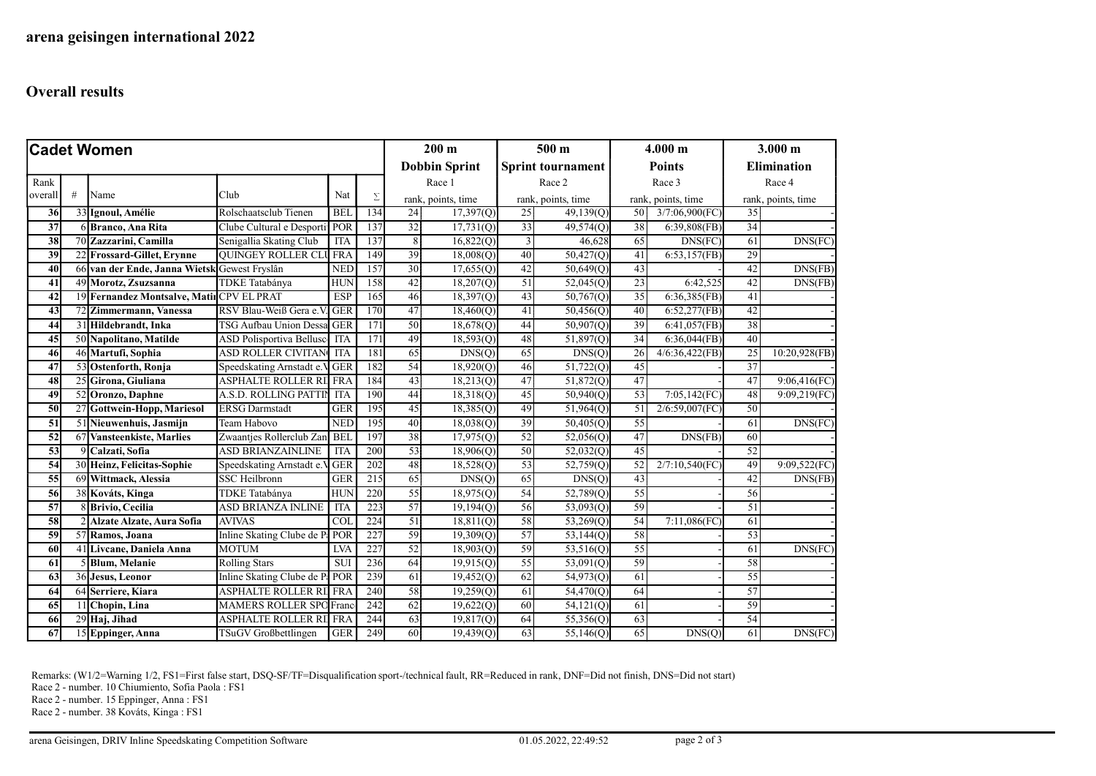## Overall results

| <b>Cadet Women</b> |   |                                              |                                        |                         | $200 \text{ m}$      |                                   | 500 <sub>m</sub>         |                              | 4.000 m                 |                              | 3.000 m            |                    |               |
|--------------------|---|----------------------------------------------|----------------------------------------|-------------------------|----------------------|-----------------------------------|--------------------------|------------------------------|-------------------------|------------------------------|--------------------|--------------------|---------------|
|                    |   |                                              |                                        |                         | <b>Dobbin Sprint</b> |                                   | <b>Sprint tournament</b> |                              | <b>Points</b>           |                              | <b>Elimination</b> |                    |               |
| Rank               |   |                                              |                                        |                         |                      | Race 1<br>Σ<br>rank, points, time |                          | Race 2<br>rank, points, time |                         | Race 3<br>rank, points, time |                    | Race 4             |               |
| overal             | # | Name                                         | Club                                   | Nat                     |                      |                                   |                          |                              |                         |                              |                    | rank, points, time |               |
| 36                 |   | 33 Ignoul, Amélie                            | Rolschaatsclub Tienen                  | <b>BEL</b>              | 134                  | 24                                | 17,397(Q)                | 25                           | 49,139(Q)               | 50                           | 3/7:06,900(FC)     | 35                 |               |
| $\overline{37}$    |   | 6 Branco, Ana Rita                           | Clube Cultural e Desporti <sup>-</sup> | POR                     | 137                  | $\overline{32}$                   | 17,731(Q)                | 33                           | 49,574(Q)               | 38                           | $6:39,808$ (FB)    | 34                 |               |
| 38                 |   | 70 Zazzarini, Camilla                        | Senigallia Skating Club                | <b>ITA</b>              | 137                  | 8                                 | 16,822(Q)                | $\overline{3}$               | 46,628                  | 65                           | DNS(FC)            | 61                 | DNS(FC)       |
| 39                 |   | 22 Frossard-Gillet, Erynne                   | <b>OUINGEY ROLLER CLU FRA</b>          |                         | 149                  | 39                                | 18,008(0)                | 40                           | $\overline{50,427}(Q)$  | 41                           | 6:53,157(FB)       | 29                 |               |
| 40                 |   | 66 van der Ende, Janna Wietsk Gewest Fryslân |                                        | <b>NED</b>              | 157                  | $\overline{30}$                   | 17,655(Q)                | 42                           | 50,649(Q)               | 43                           |                    | 42                 | DNS(FB)       |
| 41                 |   | 49 Morotz, Zsuzsanna                         | <b>TDKE</b> Tatabánya                  | HUN                     | 158                  | 42                                | 18,207(0)                | 51                           | $\overline{52,045}$ (Q) | 23                           | 6:42,525           | 42                 | DNS(FB)       |
| 42                 |   | 19 Fernandez Montsalve, Matil CPV EL PRAT    |                                        | <b>ESP</b>              | 165                  | 46                                | 18,397(Q)                | 43                           | 50,767(Q)               | 35                           | 6:36,385(FB)       | 41                 |               |
| 43                 |   | 72 Zimmermann, Vanessa                       | RSV Blau-Weiß Gera e.                  | <b>GER</b>              | 170                  | 47                                | 18,460(Q)                | 41                           | 50,456(Q)               | 40                           | 6:52,277(FB)       | 42                 |               |
| 44                 |   | 31 Hildebrandt, Inka                         | <b>TSG Aufbau Union Dessa GER</b>      |                         | 171                  | 50                                | 18,678(Q)                | 44                           | 50,907(Q)               | 39                           | 6:41,057(FB)       | 38                 |               |
| 45                 |   | 50 Napolitano, Matilde                       | <b>ASD Polisportiva Bellusco</b>       | <b>ITA</b>              | 171                  | 49                                | 18,593(Q)                | 48                           | 51,897(0)               | $\overline{34}$              | 6:36,044(FB)       | 40                 |               |
| 46                 |   | 46 Martufi, Sophia                           | <b>ASD ROLLER CIVITAN</b>              | <b>ITA</b>              | 181                  | 65                                | DNS(Q)                   | 65                           | DNS(Q)                  | 26                           | 4/6:36,422(FB)     | 25                 | 10:20,928(FB) |
| 47                 |   | 53 Ostenforth, Ronja                         | Speedskating Arnstadt e.V GER          |                         | 182                  | 54                                | 18,920(Q)                | 46                           | 51,722(Q)               | 45                           |                    | $\overline{37}$    |               |
| 48                 |   | 25 Girona, Giuliana                          | <b>ASPHALTE ROLLER RI FRA</b>          |                         | 184                  | 43                                | 18,213(Q)                | 47                           | 51,872(Q)               | 47                           |                    | 47                 | 9:06,416(FC)  |
| 49                 |   | 52 Oronzo, Daphne                            | A.S.D. ROLLING PATTIN                  | <b>ITA</b>              | 190                  | 44                                | 18,318(Q)                | 45                           | 50,940(Q)               | 53                           | 7:05,142(FC)       | 48                 | 9:09,219(FC)  |
| 50                 |   | 27 Gottwein-Hopp, Mariesol                   | <b>ERSG</b> Darmstadt                  | GER                     | 195                  | 45                                | 18,385(Q)                | 49                           | 51,964(Q)               | 51                           | $2/6:59,007$ (FC)  | 50                 |               |
| 51                 |   | 51 Nieuwenhuis, Jasmijn                      | Team Habovo                            | <b>NED</b>              | 195                  | 40                                | 18,038(Q)                | 39                           | 50,405(Q)               | 55                           |                    | 61                 | DNS(FC)       |
| 52                 |   | 67 Vansteenkiste, Marlies                    | Zwaantjes Rollerclub Zan               | <b>BEI</b>              | 197                  | 38                                | 17,975(Q)                | 52                           | 52,056(Q)               | 47                           | DNS(FB)            | 60                 |               |
| 53                 |   | 9 Calzati, Sofia                             | <b>ASD BRIANZAINLINE</b>               | <b>ITA</b>              | 200                  | 53                                | 18,906(Q)                | 50                           | 52,032(Q)               | 45                           |                    | 52                 |               |
| 54                 |   | 30 Heinz, Felicitas-Sophie                   | Speedskating Arnstadt e.V              | <b>GER</b>              | 202                  | 48                                | 18,528(Q)                | 53                           | 52,759(Q)               | 52                           | 2/7:10,540(FC)     | 49                 | 9:09,522(FC)  |
| 55                 |   | 69 Wittmack, Alessia                         | <b>SSC</b> Heilbronn                   | <b>GER</b>              | 215                  | 65                                | DNS(Q)                   | 65                           | DNS(Q)                  | 43                           |                    | 42                 | DNS(FB)       |
| 56                 |   | 38 Kováts, Kinga                             | TDKE Tatabánya                         | <b>HUN</b>              | 220                  | 55                                | 18,975(Q)                | 54                           | 52,789(Q)               | 55                           |                    | 56                 |               |
| $\overline{57}$    |   | 8 Brivio, Cecilia                            | <b>ASD BRIANZA INLINE</b>              | <b>ITA</b>              | 223                  | 57                                | 19,194(Q)                | 56                           | 53,093(Q)               | 59                           |                    | 51                 |               |
| 58                 |   | 2 Alzate Alzate, Aura Sofia                  | <b>AVIVAS</b>                          | $\overline{\text{COL}}$ | 224                  | $\overline{51}$                   | 18,811(Q)                | 58                           | 53,269(Q)               | 54                           | 7:11,086(FC)       | 61                 |               |
| 59                 |   | 57 Ramos, Joana                              | Inline Skating Clube de Pa             | POR                     | 227                  | 59                                | 19,309(Q)                | 57                           | 53,144(Q)               | 58                           |                    | 53                 |               |
| 60                 |   | 41 Livcane, Daniela Anna                     | <b>MOTUM</b>                           | <b>LVA</b>              | 227                  | 52                                | 18,903(Q)                | 59                           | 53,516(Q)               | 55                           |                    | 61                 | DNS(FC)       |
| 61                 |   | 5 Blum, Melanie                              | <b>Rolling Stars</b>                   | <b>SUI</b>              | 236                  | 64                                | 19,915(Q)                | 55                           | 53,091(Q)               | 59                           |                    | 58                 |               |
| 63                 |   | 36 Jesus, Leonor                             | Inline Skating Clube de P.             | POR                     | 239                  | 61                                | 19,452(Q)                | 62                           | 54,973(Q)               | 61                           |                    | 55                 |               |
| 64                 |   | 64 Serriere, Kiara                           | ASPHALTE ROLLER RI FRA                 |                         | 240                  | 58                                | 19,259(Q)                | 61                           | 54,470(Q)               | 64                           |                    | 57                 |               |
| 65                 |   | 11 Chopin, Lina                              | <b>MAMERS ROLLER SPO Franc</b>         |                         | 242                  | 62                                | 19,622(Q)                | 60                           | 54,121(Q)               | 61                           |                    | 59                 |               |
| 66                 |   | 29 Haj, Jihad                                | ASPHALTE ROLLER RII FRA                |                         | 244                  | 63                                | 19,817(Q)                | 64                           | 55,356(Q)               | 63                           |                    | 54                 |               |
| 67                 |   | 15 Eppinger, Anna                            | TSuGV Großbettlingen                   | GER                     | 249                  | 60                                | 19,439(Q)                | 63                           | 55,146(Q)               | 65                           | DNS(Q)             | 61                 | DNS(FC)       |

Remarks: (W1/2=Warning 1/2, FS1=First false start, DSQ-SF/TF=Disqualification sport-/technical fault, RR=Reduced in rank, DNF=Did not finish, DNS=Did not start)

Race 2 - number. 10 Chiumiento, Sofia Paola : FS1

Race 2 - number. 15 Eppinger, Anna : FS1

Race 2 - number. 38 Kováts, Kinga : FS1